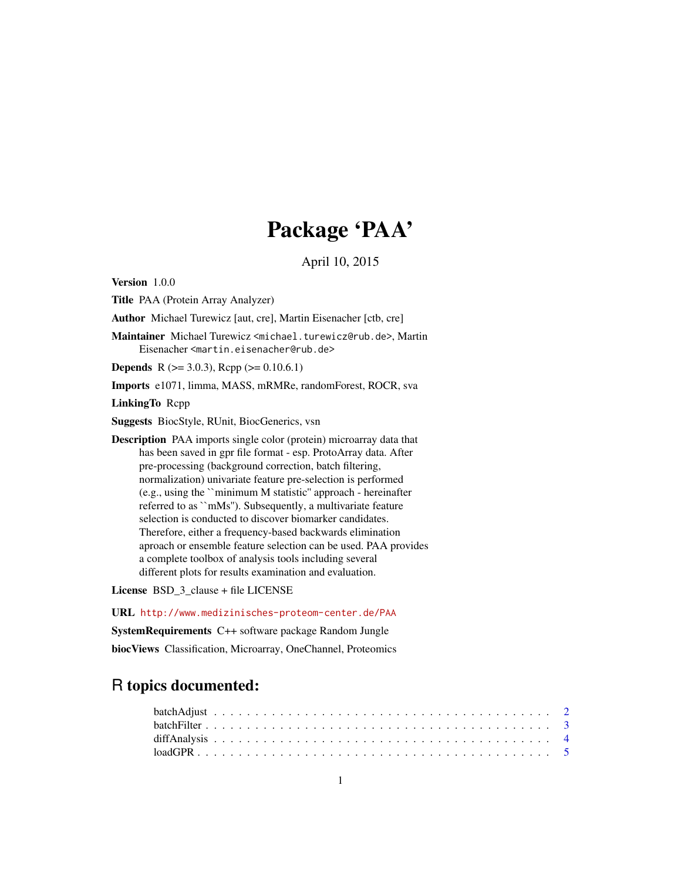# Package 'PAA'

April 10, 2015

Version 1.0.0 Title PAA (Protein Array Analyzer) Author Michael Turewicz [aut, cre], Martin Eisenacher [ctb, cre] Maintainer Michael Turewicz <michael.turewicz@rub.de>, Martin Eisenacher <martin.eisenacher@rub.de> **Depends** R ( $>= 3.0.3$ ), Rcpp ( $>= 0.10.6.1$ ) Imports e1071, limma, MASS, mRMRe, randomForest, ROCR, sva LinkingTo Rcpp Suggests BiocStyle, RUnit, BiocGenerics, vsn Description PAA imports single color (protein) microarray data that has been saved in gpr file format - esp. ProtoArray data. After pre-processing (background correction, batch filtering, normalization) univariate feature pre-selection is performed (e.g., using the ``minimum M statistic'' approach - hereinafter referred to as ``mMs''). Subsequently, a multivariate feature selection is conducted to discover biomarker candidates. Therefore, either a frequency-based backwards elimination aproach or ensemble feature selection can be used. PAA provides a complete toolbox of analysis tools including several different plots for results examination and evaluation.

License BSD\_3\_clause + file LICENSE

URL <http://www.medizinisches-proteom-center.de/PAA> SystemRequirements C++ software package Random Jungle biocViews Classification, Microarray, OneChannel, Proteomics

## R topics documented: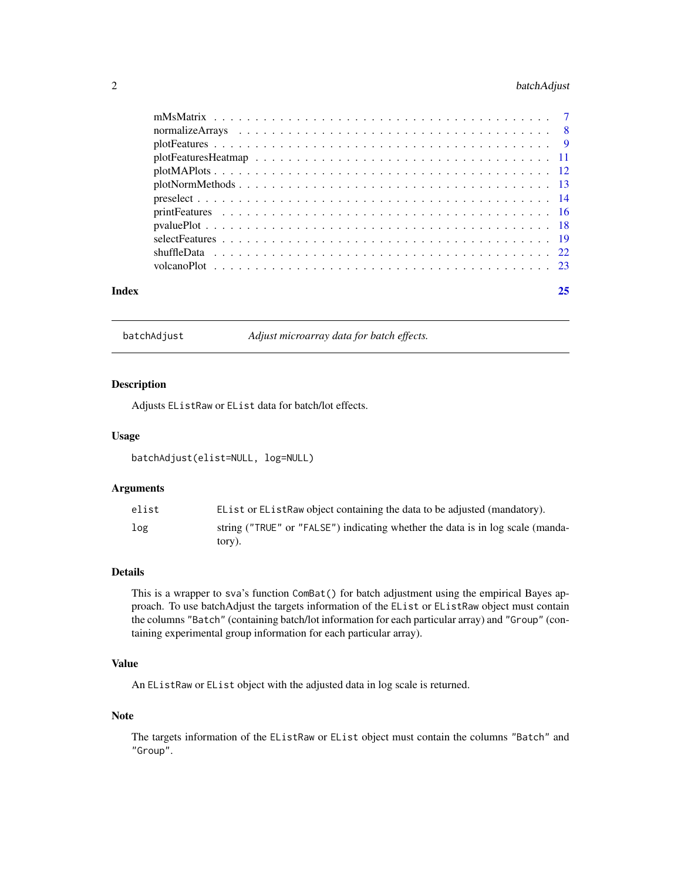### <span id="page-1-0"></span>2 batchAdjust

| Index | 25 |  |
|-------|----|--|

batchAdjust *Adjust microarray data for batch effects.*

#### Description

Adjusts EListRaw or EList data for batch/lot effects.

#### Usage

batchAdjust(elist=NULL, log=NULL)

#### Arguments

| elist | EList or EList Raw object containing the data to be adjusted (mandatory).                |
|-------|------------------------------------------------------------------------------------------|
| log   | string ("TRUE" or "FALSE") indicating whether the data is in log scale (manda-<br>tory). |

#### Details

This is a wrapper to sva's function ComBat() for batch adjustment using the empirical Bayes approach. To use batchAdjust the targets information of the EList or EListRaw object must contain the columns "Batch" (containing batch/lot information for each particular array) and "Group" (containing experimental group information for each particular array).

#### Value

An EListRaw or EList object with the adjusted data in log scale is returned.

#### Note

The targets information of the EListRaw or EList object must contain the columns "Batch" and "Group".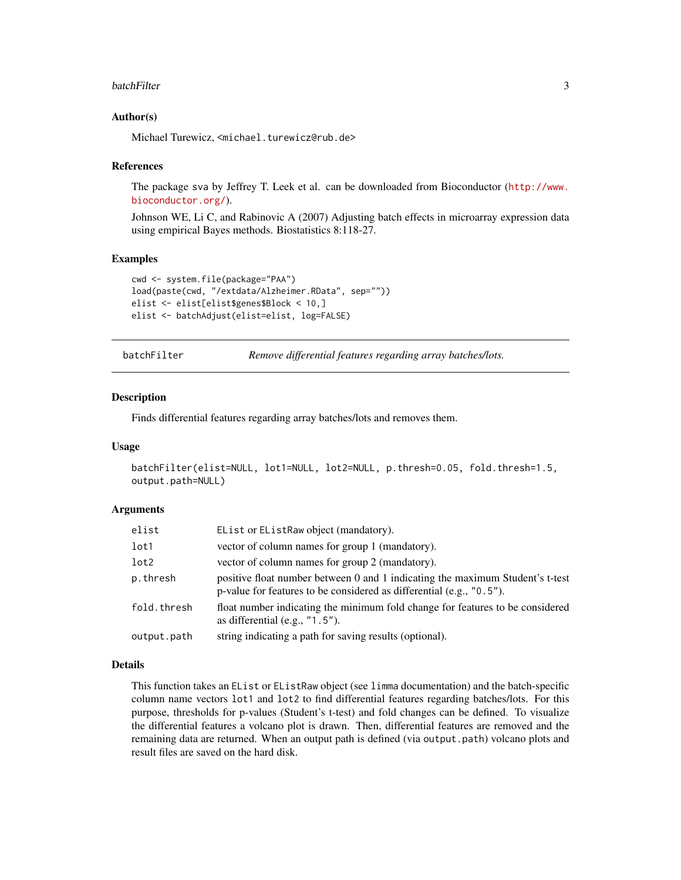#### <span id="page-2-0"></span>batchFilter 3

#### Author(s)

Michael Turewicz, <michael.turewicz@rub.de>

#### References

The package sva by Jeffrey T. Leek et al. can be downloaded from Bioconductor ([http://www.](http://www.bioconductor.org/) [bioconductor.org/](http://www.bioconductor.org/)).

Johnson WE, Li C, and Rabinovic A (2007) Adjusting batch effects in microarray expression data using empirical Bayes methods. Biostatistics 8:118-27.

#### Examples

```
cwd <- system.file(package="PAA")
load(paste(cwd, "/extdata/Alzheimer.RData", sep=""))
elist <- elist[elist$genes$Block < 10,]
elist <- batchAdjust(elist=elist, log=FALSE)
```
batchFilter *Remove differential features regarding array batches/lots.*

#### Description

Finds differential features regarding array batches/lots and removes them.

#### Usage

```
batchFilter(elist=NULL, lot1=NULL, lot2=NULL, p.thresh=0.05, fold.thresh=1.5,
output.path=NULL)
```
#### Arguments

| elist       | EList or EListRaw object (mandatory).                                                                                                                    |
|-------------|----------------------------------------------------------------------------------------------------------------------------------------------------------|
| lot1        | vector of column names for group 1 (mandatory).                                                                                                          |
| lot2        | vector of column names for group 2 (mandatory).                                                                                                          |
| p.thresh    | positive float number between 0 and 1 indicating the maximum Student's t-test<br>p-value for features to be considered as differential (e.g., $"0.5"$ ). |
| fold.thresh | float number indicating the minimum fold change for features to be considered<br>as differential $(e.g., "1.5").$                                        |
| output.path | string indicating a path for saving results (optional).                                                                                                  |

#### Details

This function takes an EList or EListRaw object (see limma documentation) and the batch-specific column name vectors lot1 and lot2 to find differential features regarding batches/lots. For this purpose, thresholds for p-values (Student's t-test) and fold changes can be defined. To visualize the differential features a volcano plot is drawn. Then, differential features are removed and the remaining data are returned. When an output path is defined (via output.path) volcano plots and result files are saved on the hard disk.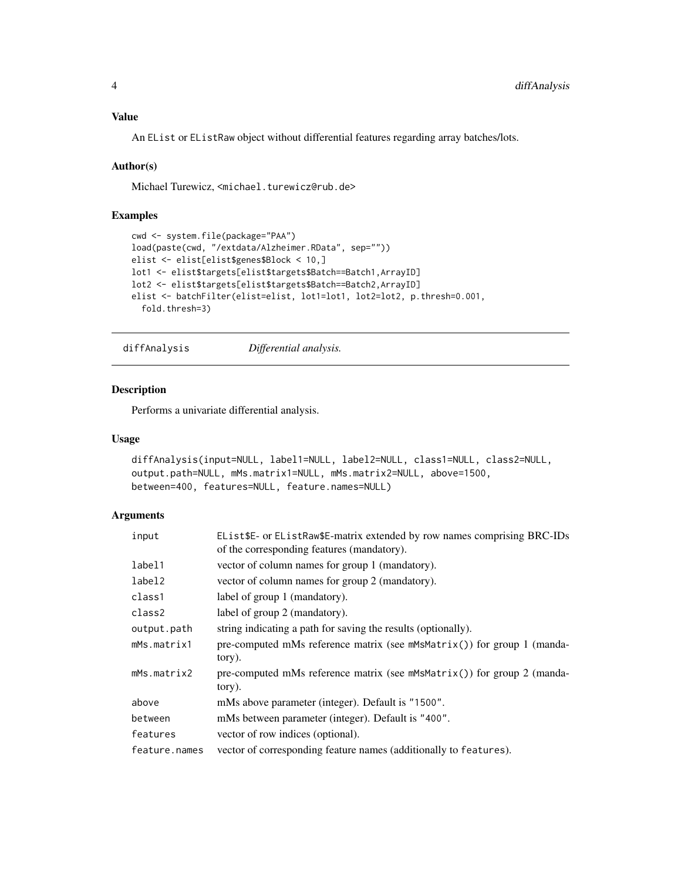#### <span id="page-3-0"></span>Value

An EList or EListRaw object without differential features regarding array batches/lots.

#### Author(s)

Michael Turewicz, <michael.turewicz@rub.de>

#### Examples

```
cwd <- system.file(package="PAA")
load(paste(cwd, "/extdata/Alzheimer.RData", sep=""))
elist <- elist[elist$genes$Block < 10,]
lot1 <- elist$targets[elist$targets$Batch==Batch1,ArrayID]
lot2 <- elist$targets[elist$targets$Batch==Batch2,ArrayID]
elist <- batchFilter(elist=elist, lot1=lot1, lot2=lot2, p.thresh=0.001,
  fold.thresh=3)
```
diffAnalysis *Differential analysis.*

#### Description

Performs a univariate differential analysis.

#### Usage

```
diffAnalysis(input=NULL, label1=NULL, label2=NULL, class1=NULL, class2=NULL,
output.path=NULL, mMs.matrix1=NULL, mMs.matrix2=NULL, above=1500,
between=400, features=NULL, feature.names=NULL)
```

| input         | EList\$E- or EListRaw\$E-matrix extended by row names comprising BRC-IDs<br>of the corresponding features (mandatory). |
|---------------|------------------------------------------------------------------------------------------------------------------------|
| label1        | vector of column names for group 1 (mandatory).                                                                        |
| label2        | vector of column names for group 2 (mandatory).                                                                        |
| class1        | label of group 1 (mandatory).                                                                                          |
| class2        | label of group 2 (mandatory).                                                                                          |
| output.path   | string indicating a path for saving the results (optionally).                                                          |
| mMs.matrix1   | pre-computed mMs reference matrix (see $m$ MsMatrix()) for group 1 (manda-<br>tory).                                   |
| mMs.matrix2   | pre-computed mMs reference matrix (see $m$ MsMatrix()) for group 2 (manda-<br>tory).                                   |
| above         | mMs above parameter (integer). Default is "1500".                                                                      |
| between       | mMs between parameter (integer). Default is "400".                                                                     |
| features      | vector of row indices (optional).                                                                                      |
| feature.names | vector of corresponding feature names (additionally to features).                                                      |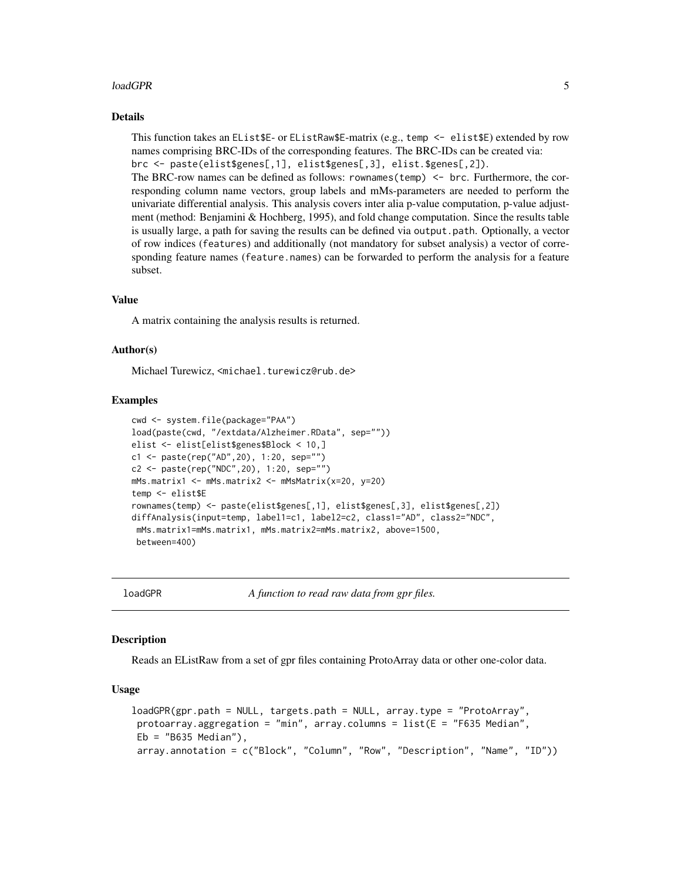#### <span id="page-4-0"></span>loadGPR 5

#### Details

This function takes an EList\$E- or EListRaw\$E-matrix (e.g., temp <- elist\$E) extended by row names comprising BRC-IDs of the corresponding features. The BRC-IDs can be created via: brc <- paste(elist\$genes[,1], elist\$genes[,3], elist.\$genes[,2]).

The BRC-row names can be defined as follows: rownames(temp) <- brc. Furthermore, the corresponding column name vectors, group labels and mMs-parameters are needed to perform the univariate differential analysis. This analysis covers inter alia p-value computation, p-value adjustment (method: Benjamini & Hochberg, 1995), and fold change computation. Since the results table is usually large, a path for saving the results can be defined via output.path. Optionally, a vector of row indices (features) and additionally (not mandatory for subset analysis) a vector of corresponding feature names (feature.names) can be forwarded to perform the analysis for a feature subset.

#### Value

A matrix containing the analysis results is returned.

#### Author(s)

Michael Turewicz, <michael.turewicz@rub.de>

#### Examples

```
cwd <- system.file(package="PAA")
load(paste(cwd, "/extdata/Alzheimer.RData", sep=""))
elist <- elist[elist$genes$Block < 10,]
c1 <- paste(rep("AD",20), 1:20, sep="")
c2 <- paste(rep("NDC",20), 1:20, sep="")
mMs.matrix1 <- mMs.matrix2 <- mMsMatrix(x=20, y=20)
temp <- elist$E
rownames(temp) <- paste(elist$genes[,1], elist$genes[,3], elist$genes[,2])
diffAnalysis(input=temp, label1=c1, label2=c2, class1="AD", class2="NDC",
mMs.matrix1=mMs.matrix1, mMs.matrix2=mMs.matrix2, above=1500,
between=400)
```
loadGPR *A function to read raw data from gpr files.*

#### **Description**

Reads an EListRaw from a set of gpr files containing ProtoArray data or other one-color data.

#### Usage

```
loadGPR(gpr.path = NULL, targets.path = NULL, array.type = "ProtoArray",
protoarray.aggregation = "min", array.columns = list(E = "F635 Median",Eb = "B635 Median"),
array.annotation = c("Block", "Column", "Row", "Description", "Name", "ID"))
```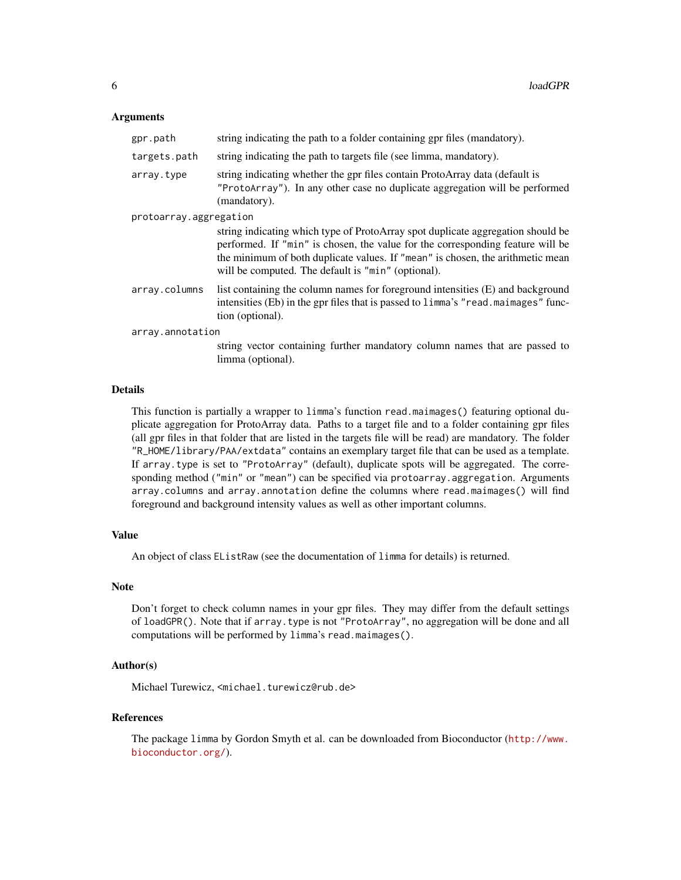#### **Arguments**

| gpr.path               | string indicating the path to a folder containing gpr files (mandatory).                                                                                                                                                                                                                                  |  |  |  |  |
|------------------------|-----------------------------------------------------------------------------------------------------------------------------------------------------------------------------------------------------------------------------------------------------------------------------------------------------------|--|--|--|--|
| targets.path           | string indicating the path to targets file (see limma, mandatory).                                                                                                                                                                                                                                        |  |  |  |  |
| array.type             | string indicating whether the gpr files contain ProtoArray data (default is<br>"ProtoArray"). In any other case no duplicate aggregation will be performed<br>(mandatory).                                                                                                                                |  |  |  |  |
| protoarray.aggregation | string indicating which type of ProtoArray spot duplicate aggregation should be<br>performed. If "min" is chosen, the value for the corresponding feature will be<br>the minimum of both duplicate values. If "mean" is chosen, the arithmetic mean<br>will be computed. The default is "min" (optional). |  |  |  |  |
| array.columns          | list containing the column names for foreground intensities (E) and background<br>intensities (Eb) in the gpr files that is passed to limma's "read.maimages" func-<br>tion (optional).                                                                                                                   |  |  |  |  |
| array.annotation       |                                                                                                                                                                                                                                                                                                           |  |  |  |  |
|                        | string vector containing further mandatory column names that are passed to<br>limma (optional).                                                                                                                                                                                                           |  |  |  |  |

#### Details

This function is partially a wrapper to limma's function read.maimages() featuring optional duplicate aggregation for ProtoArray data. Paths to a target file and to a folder containing gpr files (all gpr files in that folder that are listed in the targets file will be read) are mandatory. The folder "R\_HOME/library/PAA/extdata" contains an exemplary target file that can be used as a template. If array.type is set to "ProtoArray" (default), duplicate spots will be aggregated. The corresponding method ("min" or "mean") can be specified via protoarray.aggregation. Arguments array.columns and array.annotation define the columns where read.maimages() will find foreground and background intensity values as well as other important columns.

#### Value

An object of class EListRaw (see the documentation of limma for details) is returned.

#### Note

Don't forget to check column names in your gpr files. They may differ from the default settings of loadGPR(). Note that if array.type is not "ProtoArray", no aggregation will be done and all computations will be performed by limma's read.maimages().

#### Author(s)

Michael Turewicz, <michael.turewicz@rub.de>

#### References

The package limma by Gordon Smyth et al. can be downloaded from Bioconductor ([http://www.](http://www.bioconductor.org/) [bioconductor.org/](http://www.bioconductor.org/)).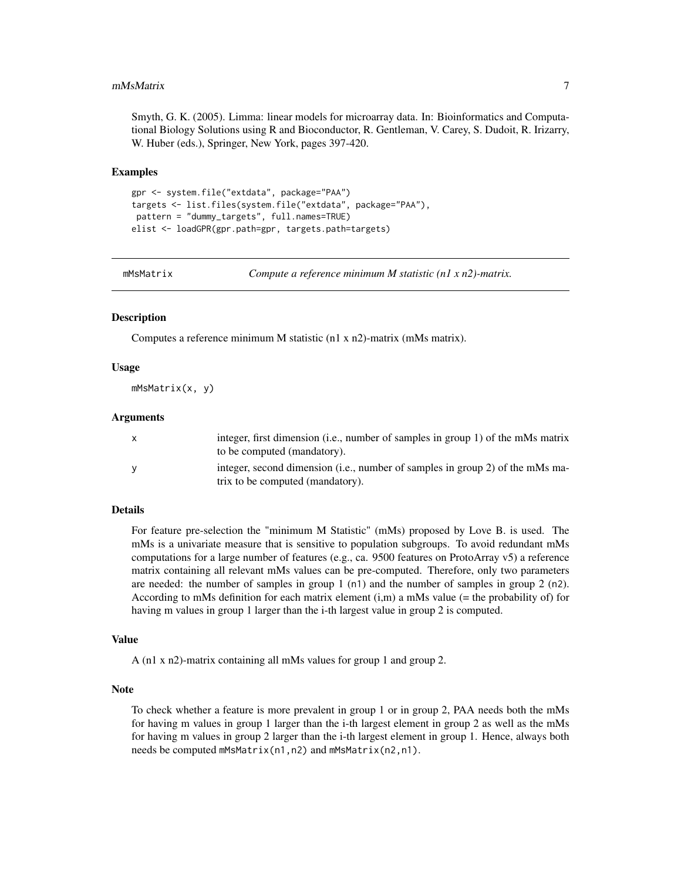#### <span id="page-6-0"></span>mMsMatrix 7

Smyth, G. K. (2005). Limma: linear models for microarray data. In: Bioinformatics and Computational Biology Solutions using R and Bioconductor, R. Gentleman, V. Carey, S. Dudoit, R. Irizarry, W. Huber (eds.), Springer, New York, pages 397-420.

#### Examples

```
gpr <- system.file("extdata", package="PAA")
targets <- list.files(system.file("extdata", package="PAA"),
pattern = "dummy_targets", full.names=TRUE)
elist <- loadGPR(gpr.path=gpr, targets.path=targets)
```
mMsMatrix *Compute a reference minimum M statistic (n1 x n2)-matrix.*

#### Description

Computes a reference minimum M statistic (n1 x n2)-matrix (mMs matrix).

#### Usage

mMsMatrix(x, y)

#### **Arguments**

|   | integer, first dimension (i.e., number of samples in group 1) of the mMs matrix<br>to be computed (mandatory).    |
|---|-------------------------------------------------------------------------------------------------------------------|
| v | integer, second dimension (i.e., number of samples in group 2) of the mMs ma-<br>trix to be computed (mandatory). |

#### Details

For feature pre-selection the "minimum M Statistic" (mMs) proposed by Love B. is used. The mMs is a univariate measure that is sensitive to population subgroups. To avoid redundant mMs computations for a large number of features (e.g., ca. 9500 features on ProtoArray v5) a reference matrix containing all relevant mMs values can be pre-computed. Therefore, only two parameters are needed: the number of samples in group 1  $(n1)$  and the number of samples in group 2  $(n2)$ . According to mMs definition for each matrix element  $(i,m)$  a mMs value (= the probability of) for having m values in group 1 larger than the i-th largest value in group 2 is computed.

#### Value

A (n1 x n2)-matrix containing all mMs values for group 1 and group 2.

#### **Note**

To check whether a feature is more prevalent in group 1 or in group 2, PAA needs both the mMs for having m values in group 1 larger than the i-th largest element in group 2 as well as the mMs for having m values in group 2 larger than the i-th largest element in group 1. Hence, always both needs be computed mMsMatrix(n1,n2) and mMsMatrix(n2,n1).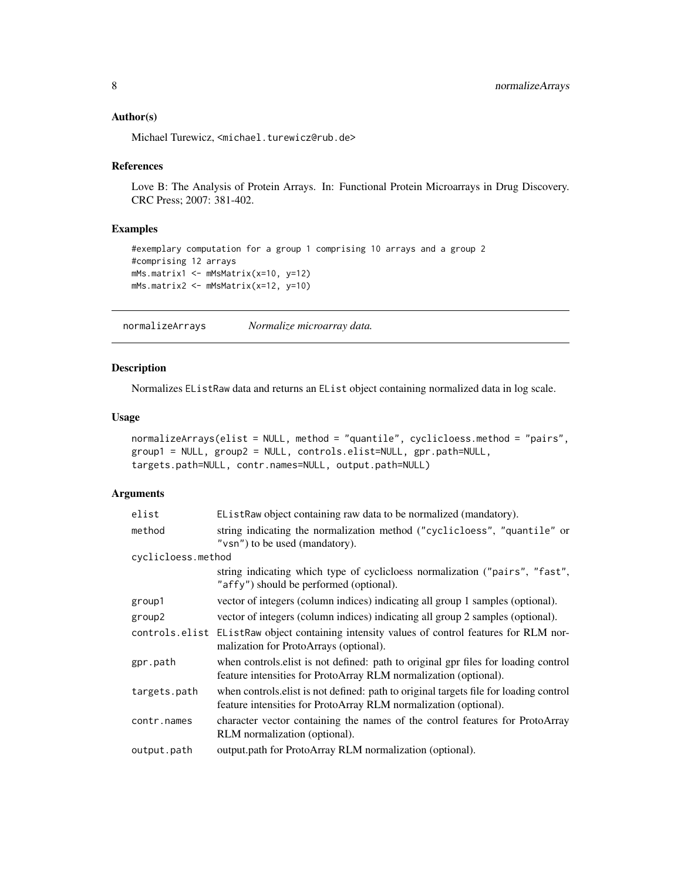#### <span id="page-7-0"></span>Author(s)

Michael Turewicz, <michael.turewicz@rub.de>

#### References

Love B: The Analysis of Protein Arrays. In: Functional Protein Microarrays in Drug Discovery. CRC Press; 2007: 381-402.

#### Examples

```
#exemplary computation for a group 1 comprising 10 arrays and a group 2
#comprising 12 arrays
mMs.matrix1 <- mMsMatrix(x=10, y=12)
mMs.matrix2 <- mMsMatrix(x=12, y=10)
```
normalizeArrays *Normalize microarray data.*

#### Description

Normalizes EListRaw data and returns an EList object containing normalized data in log scale.

#### Usage

```
normalizeArrays(elist = NULL, method = "quantile", cyclicloess.method = "pairs",
group1 = NULL, group2 = NULL, controls.elist=NULL, gpr.path=NULL,
targets.path=NULL, contr.names=NULL, output.path=NULL)
```

| elist              | EListRaw object containing raw data to be normalized (mandatory).                                                                                         |
|--------------------|-----------------------------------------------------------------------------------------------------------------------------------------------------------|
| method             | string indicating the normalization method ("cyclicloess", "quantile" or<br>"vsn") to be used (mandatory).                                                |
| cyclicloess.method |                                                                                                                                                           |
|                    | string indicating which type of cyclicloess normalization ("pairs", "fast",<br>"affy") should be performed (optional).                                    |
| group1             | vector of integers (column indices) indicating all group 1 samples (optional).                                                                            |
| group2             | vector of integers (column indices) indicating all group 2 samples (optional).                                                                            |
|                    | controls elist EListRaw object containing intensity values of control features for RLM nor-<br>malization for ProtoArrays (optional).                     |
| gpr.path           | when controls elist is not defined: path to original gpr files for loading control<br>feature intensities for ProtoArray RLM normalization (optional).    |
| targets.path       | when controls elist is not defined: path to original targets file for loading control<br>feature intensities for ProtoArray RLM normalization (optional). |
| contr.names        | character vector containing the names of the control features for ProtoArray<br>RLM normalization (optional).                                             |
| output.path        | output.path for ProtoArray RLM normalization (optional).                                                                                                  |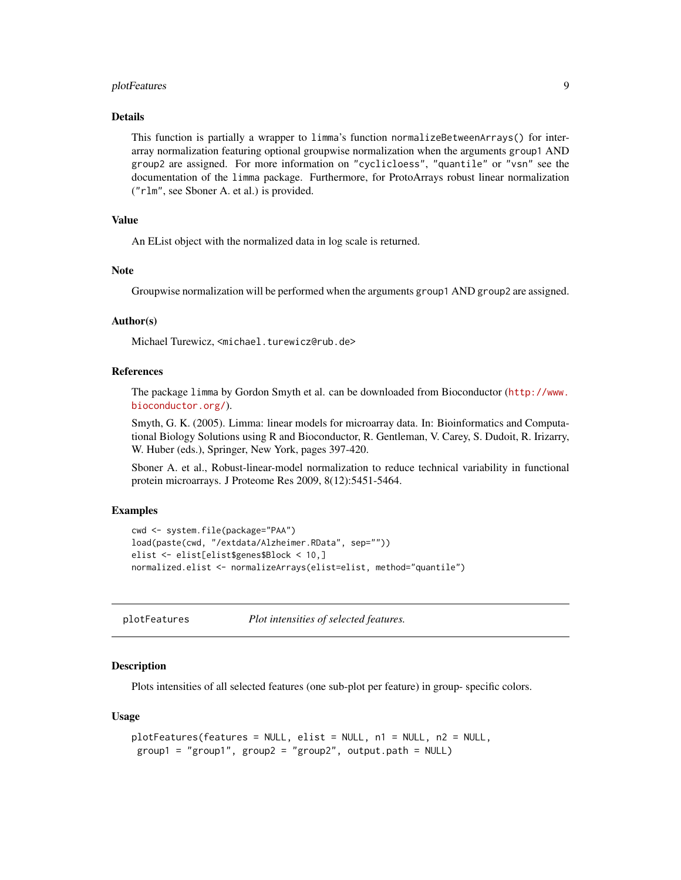#### <span id="page-8-0"></span>plotFeatures 9

#### Details

This function is partially a wrapper to limma's function normalizeBetweenArrays() for interarray normalization featuring optional groupwise normalization when the arguments group1 AND group2 are assigned. For more information on "cyclicloess", "quantile" or "vsn" see the documentation of the limma package. Furthermore, for ProtoArrays robust linear normalization ("rlm", see Sboner A. et al.) is provided.

#### Value

An EList object with the normalized data in log scale is returned.

#### **Note**

Groupwise normalization will be performed when the arguments group1 AND group2 are assigned.

#### Author(s)

Michael Turewicz, <michael.turewicz@rub.de>

#### References

The package limma by Gordon Smyth et al. can be downloaded from Bioconductor ([http://www.](http://www.bioconductor.org/) [bioconductor.org/](http://www.bioconductor.org/)).

Smyth, G. K. (2005). Limma: linear models for microarray data. In: Bioinformatics and Computational Biology Solutions using R and Bioconductor, R. Gentleman, V. Carey, S. Dudoit, R. Irizarry, W. Huber (eds.), Springer, New York, pages 397-420.

Sboner A. et al., Robust-linear-model normalization to reduce technical variability in functional protein microarrays. J Proteome Res 2009, 8(12):5451-5464.

#### Examples

```
cwd <- system.file(package="PAA")
load(paste(cwd, "/extdata/Alzheimer.RData", sep=""))
elist <- elist[elist$genes$Block < 10,]
normalized.elist <- normalizeArrays(elist=elist, method="quantile")
```
plotFeatures *Plot intensities of selected features.*

#### Description

Plots intensities of all selected features (one sub-plot per feature) in group- specific colors.

#### Usage

```
plotFeatures(features = NULL, elist = NULL, n1 = NULL, n2 = NULL,
group1 = "group1", group2 = "group2", output.path = NULL)
```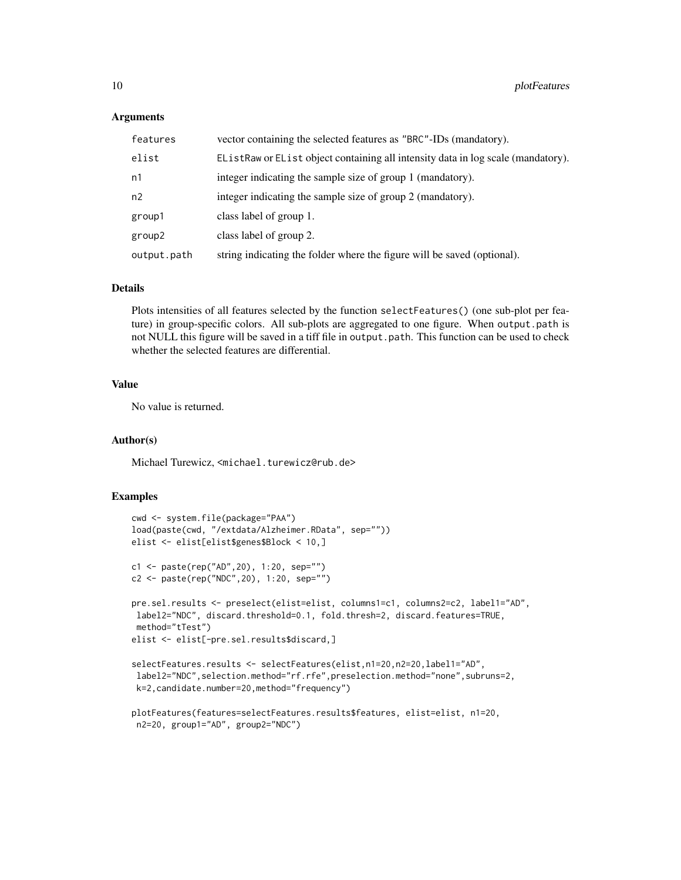#### **Arguments**

| features    | vector containing the selected features as "BRC"-IDs (mandatory).                |
|-------------|----------------------------------------------------------------------------------|
| elist       | EListRaw or EList object containing all intensity data in log scale (mandatory). |
| n1          | integer indicating the sample size of group 1 (mandatory).                       |
| n2          | integer indicating the sample size of group 2 (mandatory).                       |
| group1      | class label of group 1.                                                          |
| group2      | class label of group 2.                                                          |
| output.path | string indicating the folder where the figure will be saved (optional).          |

#### Details

Plots intensities of all features selected by the function selectFeatures() (one sub-plot per feature) in group-specific colors. All sub-plots are aggregated to one figure. When output.path is not NULL this figure will be saved in a tiff file in output.path. This function can be used to check whether the selected features are differential.

#### Value

No value is returned.

#### Author(s)

Michael Turewicz, <michael.turewicz@rub.de>

#### Examples

```
cwd <- system.file(package="PAA")
load(paste(cwd, "/extdata/Alzheimer.RData", sep=""))
elist <- elist[elist$genes$Block < 10,]
c1 <- paste(rep("AD",20), 1:20, sep="")
c2 <- paste(rep("NDC",20), 1:20, sep="")
pre.sel.results <- preselect(elist=elist, columns1=c1, columns2=c2, label1="AD",
label2="NDC", discard.threshold=0.1, fold.thresh=2, discard.features=TRUE,
 method="tTest")
elist <- elist[-pre.sel.results$discard,]
selectFeatures.results <- selectFeatures(elist,n1=20,n2=20,label1="AD",
label2="NDC",selection.method="rf.rfe",preselection.method="none",subruns=2,
 k=2,candidate.number=20,method="frequency")
plotFeatures(features=selectFeatures.results$features, elist=elist, n1=20,
```

```
n2=20, group1="AD", group2="NDC")
```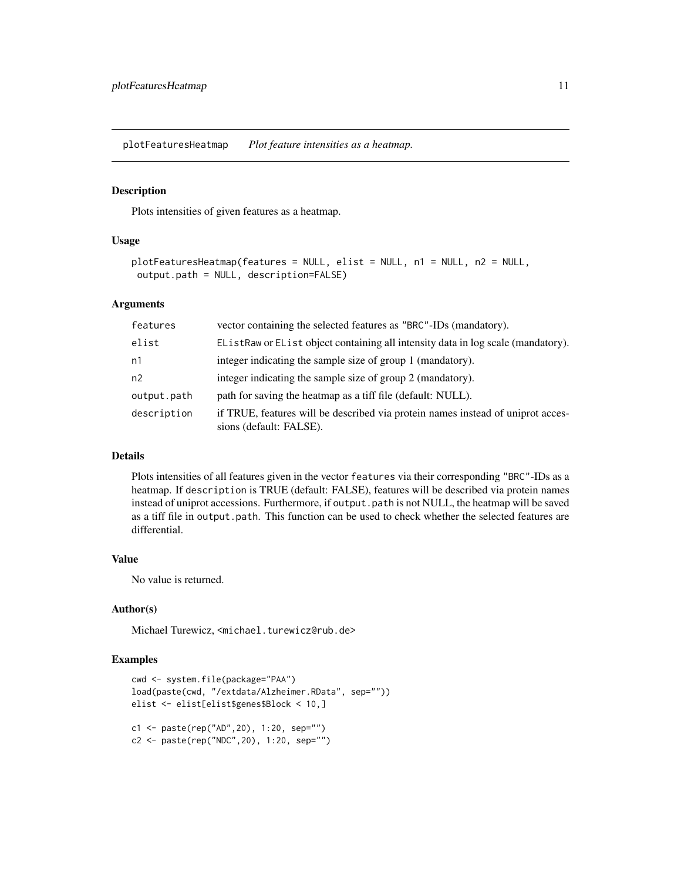<span id="page-10-0"></span>plotFeaturesHeatmap *Plot feature intensities as a heatmap.*

#### Description

Plots intensities of given features as a heatmap.

#### Usage

```
plotFeaturesHeatmap(features = NULL, elist = NULL, n1 = NULL, n2 = NULL,
output.path = NULL, description=FALSE)
```
#### Arguments

| features    | vector containing the selected features as "BRC"-IDs (mandatory).                                          |
|-------------|------------------------------------------------------------------------------------------------------------|
| elist       | EListRaw or EList object containing all intensity data in log scale (mandatory).                           |
| n1          | integer indicating the sample size of group 1 (mandatory).                                                 |
| n2          | integer indicating the sample size of group 2 (mandatory).                                                 |
| output.path | path for saving the heatmap as a tiff file (default: NULL).                                                |
| description | if TRUE, features will be described via protein names instead of uniprot acces-<br>sions (default: FALSE). |

#### Details

Plots intensities of all features given in the vector features via their corresponding "BRC"-IDs as a heatmap. If description is TRUE (default: FALSE), features will be described via protein names instead of uniprot accessions. Furthermore, if output.path is not NULL, the heatmap will be saved as a tiff file in output.path. This function can be used to check whether the selected features are differential.

#### Value

No value is returned.

#### Author(s)

Michael Turewicz, <michael.turewicz@rub.de>

#### Examples

```
cwd <- system.file(package="PAA")
load(paste(cwd, "/extdata/Alzheimer.RData", sep=""))
elist <- elist[elist$genes$Block < 10,]
c1 <- paste(rep("AD",20), 1:20, sep="")
c2 <- paste(rep("NDC",20), 1:20, sep="")
```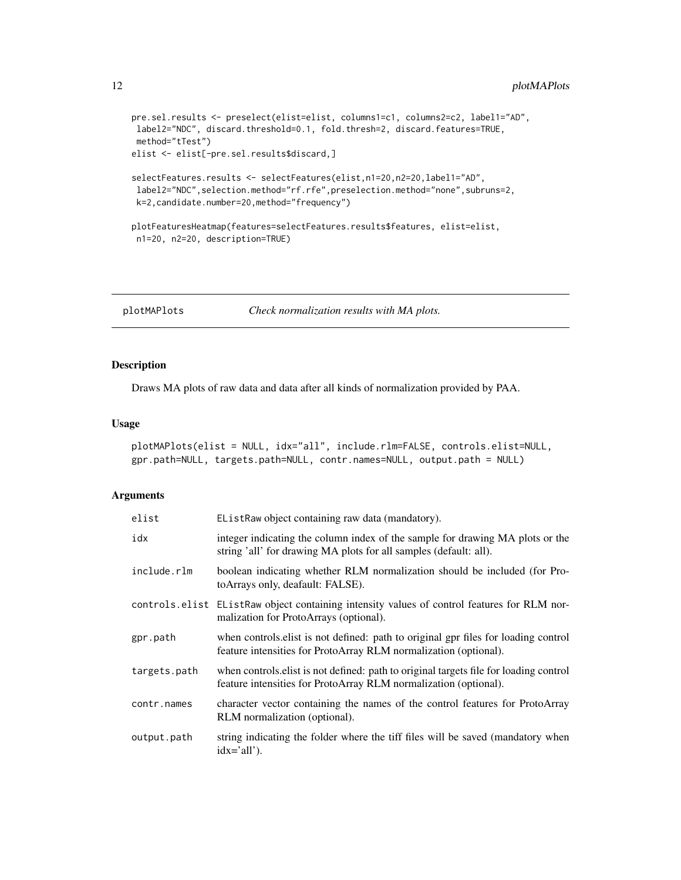```
pre.sel.results <- preselect(elist=elist, columns1=c1, columns2=c2, label1="AD",
label2="NDC", discard.threshold=0.1, fold.thresh=2, discard.features=TRUE,
method="tTest")
elist <- elist[-pre.sel.results$discard,]
selectFeatures.results <- selectFeatures(elist,n1=20,n2=20,label1="AD",
label2="NDC",selection.method="rf.rfe",preselection.method="none",subruns=2,
k=2,candidate.number=20,method="frequency")
```

```
plotFeaturesHeatmap(features=selectFeatures.results$features, elist=elist,
n1=20, n2=20, description=TRUE)
```
plotMAPlots *Check normalization results with MA plots.*

#### Description

Draws MA plots of raw data and data after all kinds of normalization provided by PAA.

#### Usage

```
plotMAPlots(elist = NULL, idx="all", include.rlm=FALSE, controls.elist=NULL,
gpr.path=NULL, targets.path=NULL, contr.names=NULL, output.path = NULL)
```

| elist        | EListRaw object containing raw data (mandatory).                                                                                                          |
|--------------|-----------------------------------------------------------------------------------------------------------------------------------------------------------|
| idx          | integer indicating the column index of the sample for drawing MA plots or the<br>string 'all' for drawing MA plots for all samples (default: all).        |
| include.rlm  | boolean indicating whether RLM normalization should be included (for Pro-<br>toArrays only, deafault: FALSE).                                             |
|              | controls elist Elist Raw object containing intensity values of control features for RLM nor-<br>malization for ProtoArrays (optional).                    |
| gpr.path     | when controls elist is not defined: path to original gpr files for loading control<br>feature intensities for ProtoArray RLM normalization (optional).    |
| targets.path | when controls elist is not defined: path to original targets file for loading control<br>feature intensities for ProtoArray RLM normalization (optional). |
| contr.names  | character vector containing the names of the control features for ProtoArray<br>RLM normalization (optional).                                             |
| output.path  | string indicating the folder where the tiff files will be saved (mandatory when<br>$idx='all'.$                                                           |

<span id="page-11-0"></span>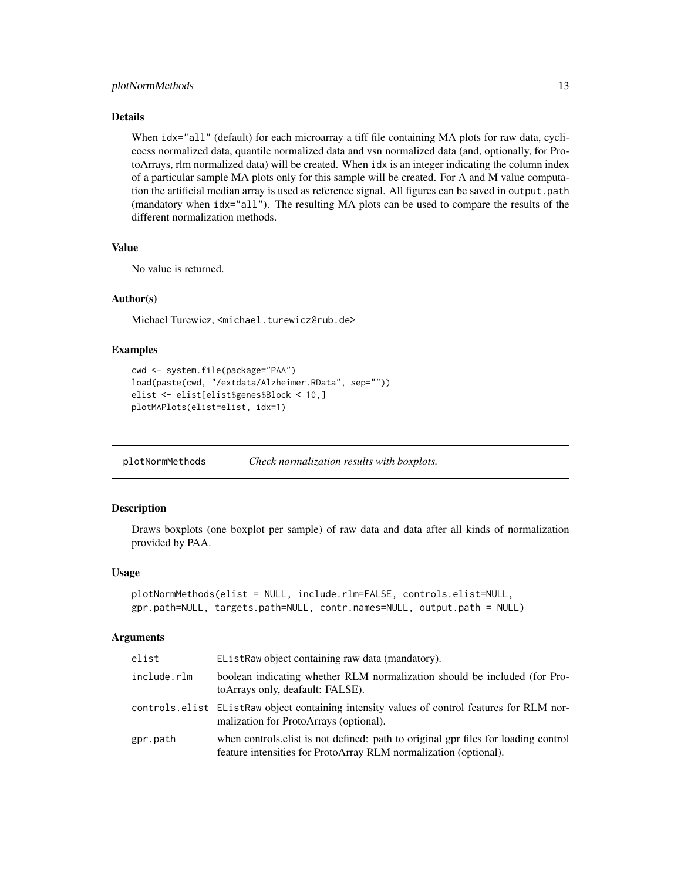#### <span id="page-12-0"></span>plotNormMethods 13

#### Details

When  $idx="all"$  (default) for each microarray a tiff file containing MA plots for raw data, cyclicoess normalized data, quantile normalized data and vsn normalized data (and, optionally, for ProtoArrays, rlm normalized data) will be created. When idx is an integer indicating the column index of a particular sample MA plots only for this sample will be created. For A and M value computation the artificial median array is used as reference signal. All figures can be saved in output.path (mandatory when idx="all"). The resulting MA plots can be used to compare the results of the different normalization methods.

#### Value

No value is returned.

#### Author(s)

Michael Turewicz, <michael.turewicz@rub.de>

#### Examples

```
cwd <- system.file(package="PAA")
load(paste(cwd, "/extdata/Alzheimer.RData", sep=""))
elist <- elist[elist$genes$Block < 10,]
plotMAPlots(elist=elist, idx=1)
```
plotNormMethods *Check normalization results with boxplots.*

#### Description

Draws boxplots (one boxplot per sample) of raw data and data after all kinds of normalization provided by PAA.

#### Usage

```
plotNormMethods(elist = NULL, include.rlm=FALSE, controls.elist=NULL,
gpr.path=NULL, targets.path=NULL, contr.names=NULL, output.path = NULL)
```

| elist       | EListRaw object containing raw data (mandatory).                                                                                                       |
|-------------|--------------------------------------------------------------------------------------------------------------------------------------------------------|
| include.rlm | boolean indicating whether RLM normalization should be included (for Pro-<br>to Arrays only, deafault: FALSE).                                         |
|             | controls elist Elist Raw object containing intensity values of control features for RLM nor-<br>malization for ProtoArrays (optional).                 |
| gpr.path    | when controls elist is not defined: path to original gpr files for loading control<br>feature intensities for ProtoArray RLM normalization (optional). |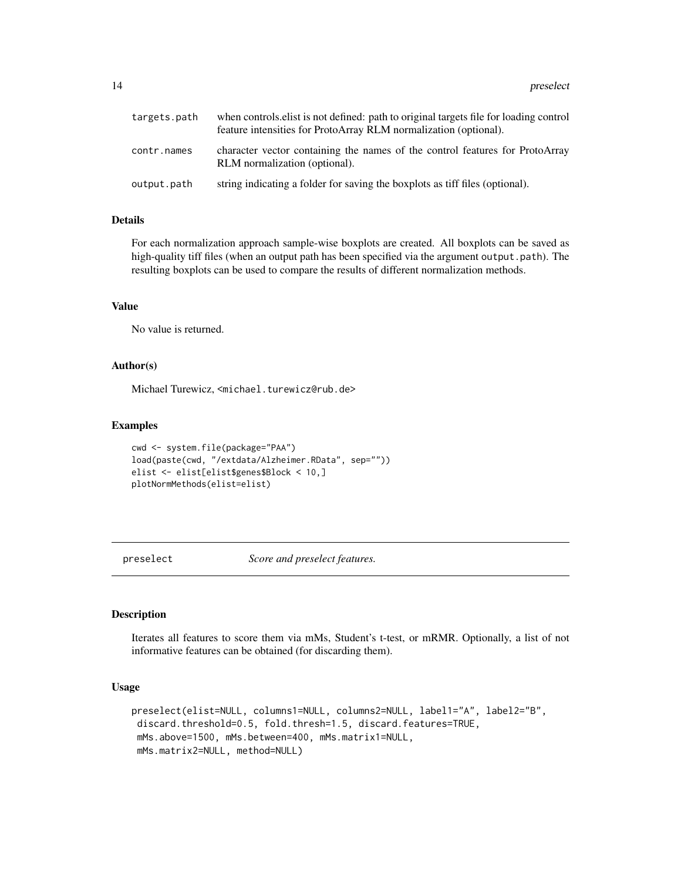<span id="page-13-0"></span>

| targets.path | when controls elist is not defined: path to original targets file for loading control<br>feature intensities for ProtoArray RLM normalization (optional). |
|--------------|-----------------------------------------------------------------------------------------------------------------------------------------------------------|
| contr.names  | character vector containing the names of the control features for ProtoArray<br>RLM normalization (optional).                                             |
| output.path  | string indicating a folder for saving the boxplots as tiff files (optional).                                                                              |

#### Details

For each normalization approach sample-wise boxplots are created. All boxplots can be saved as high-quality tiff files (when an output path has been specified via the argument output.path). The resulting boxplots can be used to compare the results of different normalization methods.

#### Value

No value is returned.

#### Author(s)

Michael Turewicz, <michael.turewicz@rub.de>

#### Examples

```
cwd <- system.file(package="PAA")
load(paste(cwd, "/extdata/Alzheimer.RData", sep=""))
elist <- elist[elist$genes$Block < 10,]
plotNormMethods(elist=elist)
```
preselect *Score and preselect features.*

#### Description

Iterates all features to score them via mMs, Student's t-test, or mRMR. Optionally, a list of not informative features can be obtained (for discarding them).

#### Usage

```
preselect(elist=NULL, columns1=NULL, columns2=NULL, label1="A", label2="B",
discard.threshold=0.5, fold.thresh=1.5, discard.features=TRUE,
mMs.above=1500, mMs.between=400, mMs.matrix1=NULL,
mMs.matrix2=NULL, method=NULL)
```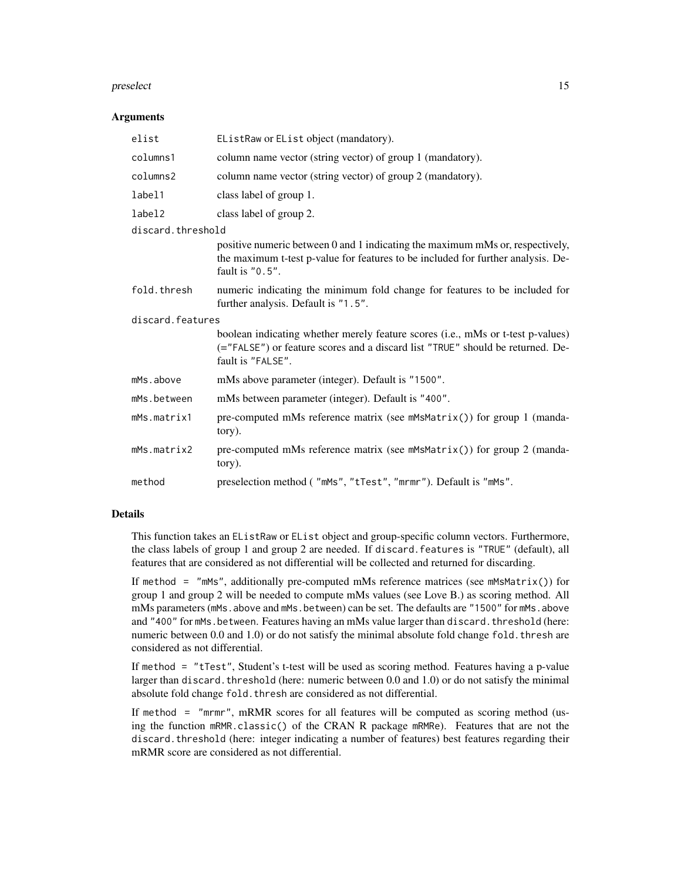#### preselect 15

#### **Arguments**

| elist             | EListRaw or EList object (mandatory).                                                                                                                                                  |  |
|-------------------|----------------------------------------------------------------------------------------------------------------------------------------------------------------------------------------|--|
| columns1          | column name vector (string vector) of group 1 (mandatory).                                                                                                                             |  |
| columns2          | column name vector (string vector) of group 2 (mandatory).                                                                                                                             |  |
| label1            | class label of group 1.                                                                                                                                                                |  |
| label2            | class label of group 2.                                                                                                                                                                |  |
| discard.threshold |                                                                                                                                                                                        |  |
|                   | positive numeric between 0 and 1 indicating the maximum mMs or, respectively,<br>the maximum t-test p-value for features to be included for further analysis. De-<br>fault is $"0.5".$ |  |
| fold.thresh       | numeric indicating the minimum fold change for features to be included for<br>further analysis. Default is "1.5".                                                                      |  |
| discard.features  |                                                                                                                                                                                        |  |
|                   | boolean indicating whether merely feature scores (i.e., mMs or t-test p-values)<br>(="FALSE") or feature scores and a discard list "TRUE" should be returned. De-<br>fault is "FALSE". |  |
| mMs.above         | mMs above parameter (integer). Default is "1500".                                                                                                                                      |  |
| mMs.between       | mMs between parameter (integer). Default is "400".                                                                                                                                     |  |
| mMs.matrix1       | pre-computed mMs reference matrix (see mMsMatrix()) for group 1 (manda-<br>tory).                                                                                                      |  |
| mMs.matrix2       | pre-computed mMs reference matrix (see $mM\text{S}$ matrix()) for group 2 (manda-<br>tory).                                                                                            |  |
| method            | preselection method ("mMs", "tTest", "mrmr"). Default is "mMs".                                                                                                                        |  |

#### Details

This function takes an EListRaw or EList object and group-specific column vectors. Furthermore, the class labels of group 1 and group 2 are needed. If discard.features is "TRUE" (default), all features that are considered as not differential will be collected and returned for discarding.

If method =  $\text{"mMs"}$ , additionally pre-computed mMs reference matrices (see  $\text{mMs}$  Matrix()) for group 1 and group 2 will be needed to compute mMs values (see Love B.) as scoring method. All mMs parameters (mMs.above and mMs.between) can be set. The defaults are "1500" for mMs.above and "400" for mMs. between. Features having an mMs value larger than discard. threshold (here: numeric between 0.0 and 1.0) or do not satisfy the minimal absolute fold change fold. thresh are considered as not differential.

If method = "tTest", Student's t-test will be used as scoring method. Features having a p-value larger than discard. threshold (here: numeric between 0.0 and 1.0) or do not satisfy the minimal absolute fold change fold. thresh are considered as not differential.

If method = "mrmr", mRMR scores for all features will be computed as scoring method (using the function mRMR.classic() of the CRAN R package mRMRe). Features that are not the discard.threshold (here: integer indicating a number of features) best features regarding their mRMR score are considered as not differential.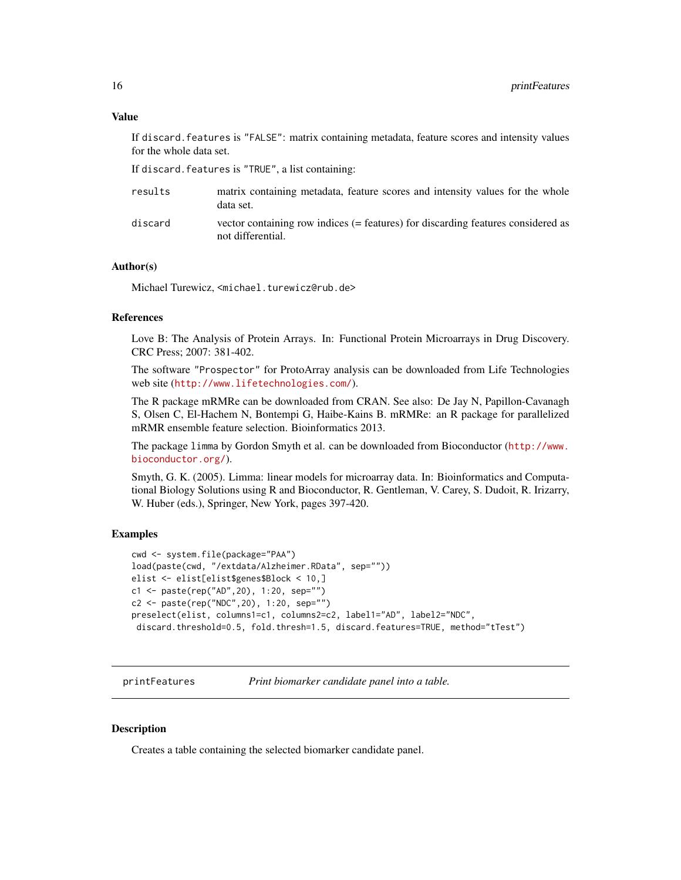#### <span id="page-15-0"></span>Value

If discard.features is "FALSE": matrix containing metadata, feature scores and intensity values for the whole data set.

If discard.features is "TRUE", a list containing:

| results | matrix containing metadata, feature scores and intensity values for the whole<br>data set.            |
|---------|-------------------------------------------------------------------------------------------------------|
| discard | vector containing row indices (= features) for discarding features considered as<br>not differential. |

#### Author(s)

Michael Turewicz, <michael.turewicz@rub.de>

#### References

Love B: The Analysis of Protein Arrays. In: Functional Protein Microarrays in Drug Discovery. CRC Press; 2007: 381-402.

The software "Prospector" for ProtoArray analysis can be downloaded from Life Technologies web site (<http://www.lifetechnologies.com/>).

The R package mRMRe can be downloaded from CRAN. See also: De Jay N, Papillon-Cavanagh S, Olsen C, El-Hachem N, Bontempi G, Haibe-Kains B. mRMRe: an R package for parallelized mRMR ensemble feature selection. Bioinformatics 2013.

The package limma by Gordon Smyth et al. can be downloaded from Bioconductor ([http://www.](http://www.bioconductor.org/) [bioconductor.org/](http://www.bioconductor.org/)).

Smyth, G. K. (2005). Limma: linear models for microarray data. In: Bioinformatics and Computational Biology Solutions using R and Bioconductor, R. Gentleman, V. Carey, S. Dudoit, R. Irizarry, W. Huber (eds.), Springer, New York, pages 397-420.

#### Examples

```
cwd <- system.file(package="PAA")
load(paste(cwd, "/extdata/Alzheimer.RData", sep=""))
elist <- elist[elist$genes$Block < 10,]
c1 <- paste(rep("AD",20), 1:20, sep="")
c2 <- paste(rep("NDC",20), 1:20, sep="")
preselect(elist, columns1=c1, columns2=c2, label1="AD", label2="NDC",
 discard.threshold=0.5, fold.thresh=1.5, discard.features=TRUE, method="tTest")
```
printFeatures *Print biomarker candidate panel into a table.*

#### **Description**

Creates a table containing the selected biomarker candidate panel.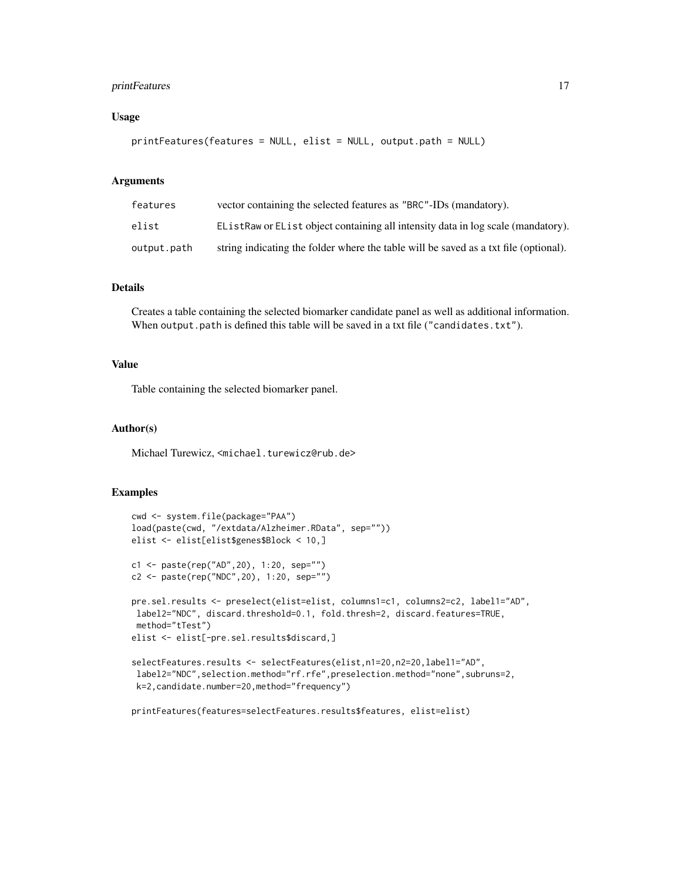#### printFeatures 17

#### Usage

```
printFeatures(features = NULL, elist = NULL, output.path = NULL)
```
#### Arguments

| features    | vector containing the selected features as "BRC"-IDs (mandatory).                    |
|-------------|--------------------------------------------------------------------------------------|
| elist       | EListRaw or EList object containing all intensity data in log scale (mandatory).     |
| output.path | string indicating the folder where the table will be saved as a txt file (optional). |

#### Details

Creates a table containing the selected biomarker candidate panel as well as additional information. When output.path is defined this table will be saved in a txt file ("candidates.txt").

#### Value

Table containing the selected biomarker panel.

#### Author(s)

Michael Turewicz, <michael.turewicz@rub.de>

#### Examples

```
cwd <- system.file(package="PAA")
load(paste(cwd, "/extdata/Alzheimer.RData", sep=""))
elist <- elist[elist$genes$Block < 10,]
c1 <- paste(rep("AD",20), 1:20, sep="")
c2 <- paste(rep("NDC",20), 1:20, sep="")
pre.sel.results <- preselect(elist=elist, columns1=c1, columns2=c2, label1="AD",
label2="NDC", discard.threshold=0.1, fold.thresh=2, discard.features=TRUE,
 method="tTest")
elist <- elist[-pre.sel.results$discard,]
selectFeatures.results <- selectFeatures(elist,n1=20,n2=20,label1="AD",
 label2="NDC",selection.method="rf.rfe",preselection.method="none",subruns=2,
 k=2,candidate.number=20,method="frequency")
```
printFeatures(features=selectFeatures.results\$features, elist=elist)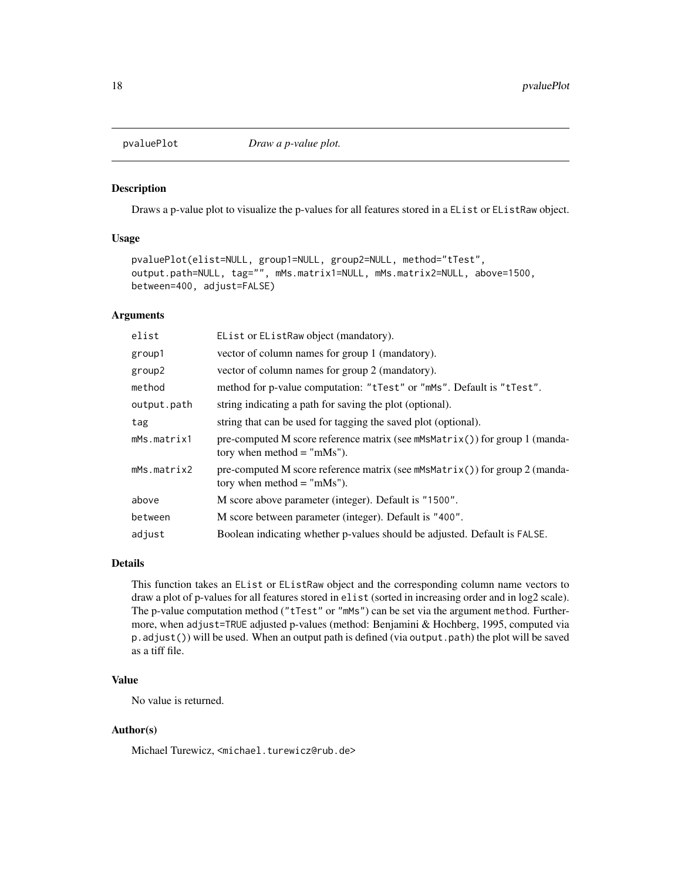<span id="page-17-0"></span>

#### Description

Draws a p-value plot to visualize the p-values for all features stored in a EList or EListRaw object.

#### Usage

```
pvaluePlot(elist=NULL, group1=NULL, group2=NULL, method="tTest",
output.path=NULL, tag="", mMs.matrix1=NULL, mMs.matrix2=NULL, above=1500,
between=400, adjust=FALSE)
```
#### Arguments

| elist       | EList or EListRaw object (mandatory).                                                                          |
|-------------|----------------------------------------------------------------------------------------------------------------|
| group1      | vector of column names for group 1 (mandatory).                                                                |
| group2      | vector of column names for group 2 (mandatory).                                                                |
| method      | method for p-value computation: "tTest" or "mMs". Default is "tTest".                                          |
| output.path | string indicating a path for saving the plot (optional).                                                       |
| tag         | string that can be used for tagging the saved plot (optional).                                                 |
| mMs.matrix1 | pre-computed M score reference matrix (see $m$ MsMatrix()) for group 1 (manda-<br>tory when method $=$ "mMs"). |
| mMs.matrix2 | pre-computed M score reference matrix (see mMsMatrix()) for group 2 (manda-<br>tory when method $=$ "mMs").    |
| above       | M score above parameter (integer). Default is "1500".                                                          |
| between     | M score between parameter (integer). Default is "400".                                                         |
| adjust      | Boolean indicating whether p-values should be adjusted. Default is FALSE.                                      |
|             |                                                                                                                |

#### Details

This function takes an EList or EListRaw object and the corresponding column name vectors to draw a plot of p-values for all features stored in elist (sorted in increasing order and in log2 scale). The p-value computation method ("tTest" or "mMs") can be set via the argument method. Furthermore, when adjust=TRUE adjusted p-values (method: Benjamini & Hochberg, 1995, computed via p.adjust()) will be used. When an output path is defined (via output.path) the plot will be saved as a tiff file.

#### Value

No value is returned.

#### Author(s)

Michael Turewicz, <michael.turewicz@rub.de>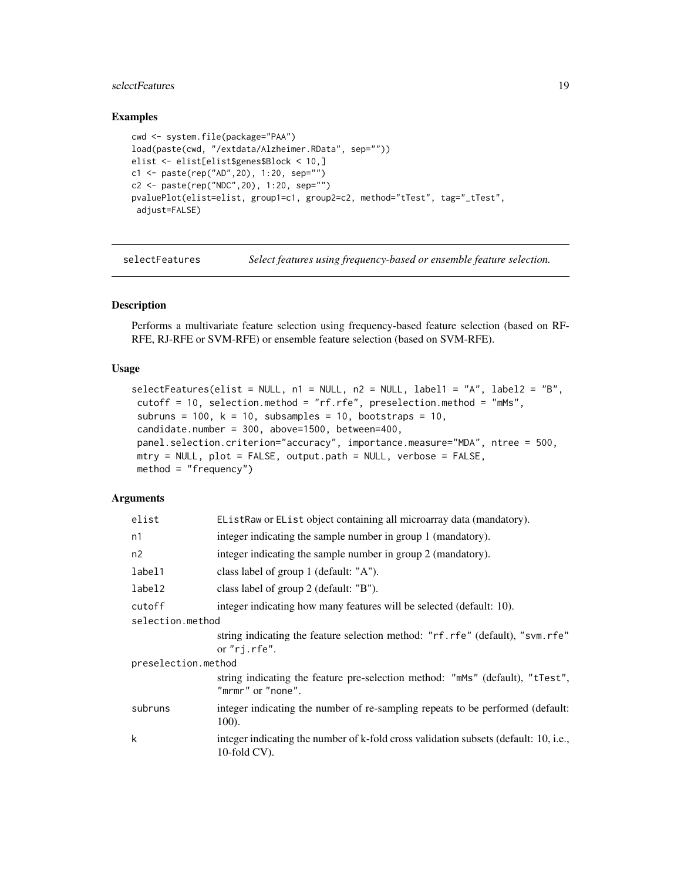#### <span id="page-18-0"></span>selectFeatures 19

#### Examples

```
cwd <- system.file(package="PAA")
load(paste(cwd, "/extdata/Alzheimer.RData", sep=""))
elist <- elist[elist$genes$Block < 10,]
c1 <- paste(rep("AD",20), 1:20, sep="")
c2 <- paste(rep("NDC",20), 1:20, sep="")
pvaluePlot(elist=elist, group1=c1, group2=c2, method="tTest", tag="_tTest",
 adjust=FALSE)
```
selectFeatures *Select features using frequency-based or ensemble feature selection.*

#### Description

Performs a multivariate feature selection using frequency-based feature selection (based on RF-RFE, RJ-RFE or SVM-RFE) or ensemble feature selection (based on SVM-RFE).

#### Usage

```
selectFeatures(elist = NULL, n1 = NULL, n2 = NULL, label1 = "A", label2 = "B",
cutoff = 10, selection.method = "rf.rfe", preselection.method = "mMs",
subruns = 100, k = 10, subsamples = 10, bootstraps = 10,
candidate.number = 300, above=1500, between=400,
panel.selection.criterion="accuracy", importance.measure="MDA", ntree = 500,
mtry = NULL, plot = FALSE, output.path = NULL, verbose = FALSE,
method = "frequency")
```

| elist               | EListRaw or EList object containing all microarray data (mandatory).                                    |
|---------------------|---------------------------------------------------------------------------------------------------------|
| n1                  | integer indicating the sample number in group 1 (mandatory).                                            |
| n2                  | integer indicating the sample number in group 2 (mandatory).                                            |
| label1              | class label of group 1 (default: "A").                                                                  |
| label2              | class label of group 2 (default: "B").                                                                  |
| cutoff              | integer indicating how many features will be selected (default: 10).                                    |
| selection.method    |                                                                                                         |
|                     | string indicating the feature selection method: "rf.rfe" (default), "svm.rfe"<br>or $"rj.$ rfe".        |
| preselection.method |                                                                                                         |
|                     | string indicating the feature pre-selection method: "mMs" (default), "tTest",<br>"mrmr" or "none".      |
| subruns             | integer indicating the number of re-sampling repeats to be performed (default:<br>100).                 |
| k                   | integer indicating the number of k-fold cross validation subsets (default: 10, i.e.,<br>$10$ -fold CV). |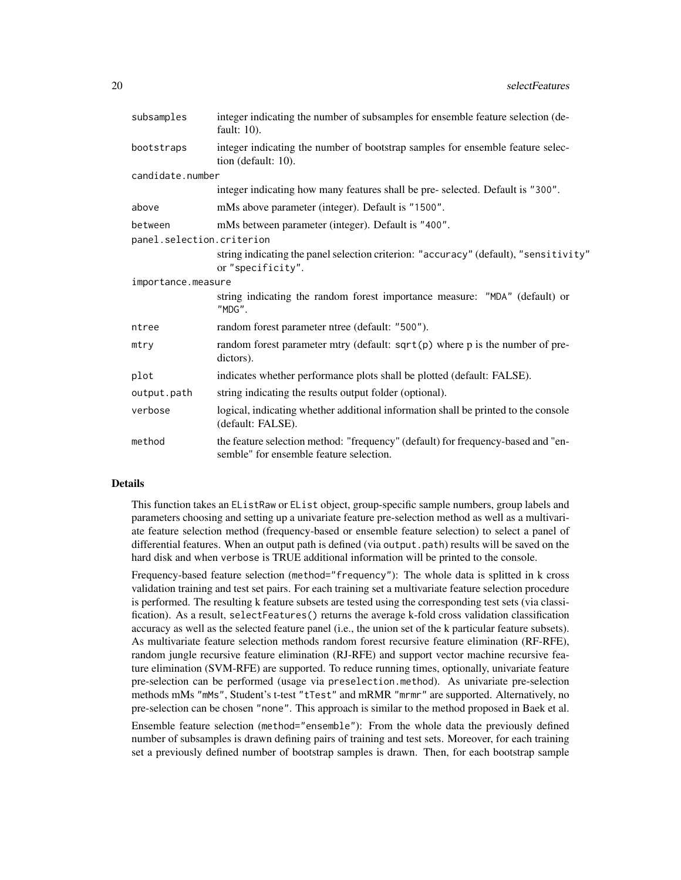| subsamples                | integer indicating the number of subsamples for ensemble feature selection (de-<br>fault: $10$ ).                           |
|---------------------------|-----------------------------------------------------------------------------------------------------------------------------|
| bootstraps                | integer indicating the number of bootstrap samples for ensemble feature selec-<br>tion (default: 10).                       |
| candidate.number          |                                                                                                                             |
|                           | integer indicating how many features shall be pre-selected. Default is "300".                                               |
| above                     | mMs above parameter (integer). Default is "1500".                                                                           |
| between                   | mMs between parameter (integer). Default is "400".                                                                          |
| panel.selection.criterion |                                                                                                                             |
|                           | string indicating the panel selection criterion: "accuracy" (default), "sensitivity"<br>or "specificity".                   |
| importance.measure        |                                                                                                                             |
|                           | string indicating the random forest importance measure: "MDA" (default) or<br>"MDG".                                        |
| ntree                     | random forest parameter ntree (default: "500").                                                                             |
| mtry                      | random forest parameter mtry (default: $sqrt(p)$ where p is the number of pre-<br>dictors).                                 |
| plot                      | indicates whether performance plots shall be plotted (default: FALSE).                                                      |
| output.path               | string indicating the results output folder (optional).                                                                     |
| verbose                   | logical, indicating whether additional information shall be printed to the console<br>(default: FALSE).                     |
| method                    | the feature selection method: "frequency" (default) for frequency-based and "en-<br>semble" for ensemble feature selection. |

#### Details

This function takes an EListRaw or EList object, group-specific sample numbers, group labels and parameters choosing and setting up a univariate feature pre-selection method as well as a multivariate feature selection method (frequency-based or ensemble feature selection) to select a panel of differential features. When an output path is defined (via output.path) results will be saved on the hard disk and when verbose is TRUE additional information will be printed to the console.

Frequency-based feature selection (method="frequency"): The whole data is splitted in k cross validation training and test set pairs. For each training set a multivariate feature selection procedure is performed. The resulting k feature subsets are tested using the corresponding test sets (via classification). As a result, selectFeatures() returns the average k-fold cross validation classification accuracy as well as the selected feature panel (i.e., the union set of the k particular feature subsets). As multivariate feature selection methods random forest recursive feature elimination (RF-RFE), random jungle recursive feature elimination (RJ-RFE) and support vector machine recursive feature elimination (SVM-RFE) are supported. To reduce running times, optionally, univariate feature pre-selection can be performed (usage via preselection.method). As univariate pre-selection methods mMs "mMs", Student's t-test "tTest" and mRMR "mrmr" are supported. Alternatively, no pre-selection can be chosen "none". This approach is similar to the method proposed in Baek et al.

Ensemble feature selection (method="ensemble"): From the whole data the previously defined number of subsamples is drawn defining pairs of training and test sets. Moreover, for each training set a previously defined number of bootstrap samples is drawn. Then, for each bootstrap sample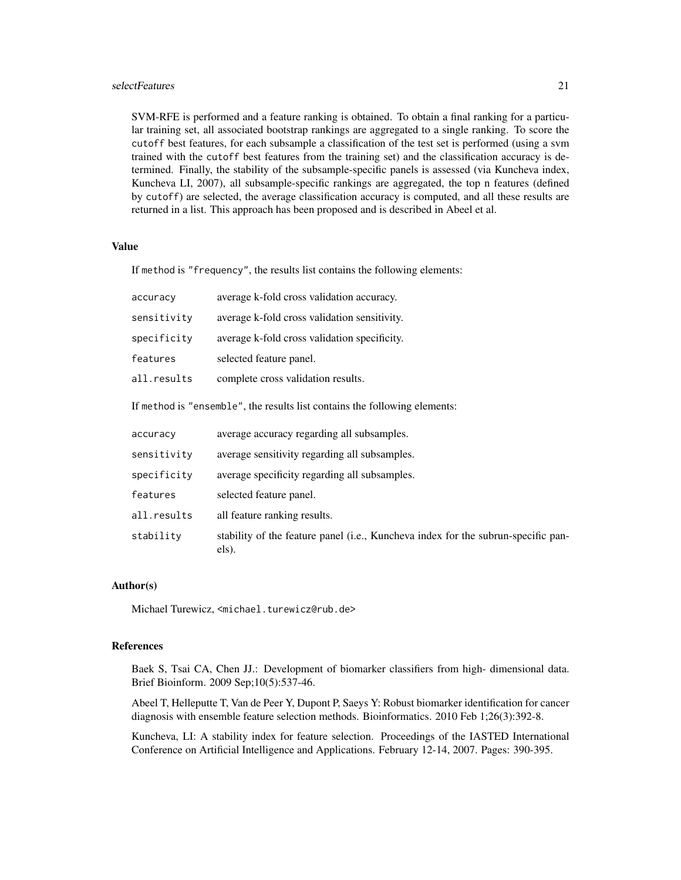#### selectFeatures 21

SVM-RFE is performed and a feature ranking is obtained. To obtain a final ranking for a particular training set, all associated bootstrap rankings are aggregated to a single ranking. To score the cutoff best features, for each subsample a classification of the test set is performed (using a svm trained with the cutoff best features from the training set) and the classification accuracy is determined. Finally, the stability of the subsample-specific panels is assessed (via Kuncheva index, Kuncheva LI, 2007), all subsample-specific rankings are aggregated, the top n features (defined by cutoff) are selected, the average classification accuracy is computed, and all these results are returned in a list. This approach has been proposed and is described in Abeel et al.

#### Value

If method is "frequency", the results list contains the following elements:

| accuracy    | average k-fold cross validation accuracy.                                                  |
|-------------|--------------------------------------------------------------------------------------------|
| sensitivity | average k-fold cross validation sensitivity.                                               |
| specificity | average k-fold cross validation specificity.                                               |
| features    | selected feature panel.                                                                    |
| all.results | complete cross validation results.                                                         |
|             | If method is "ensemble", the results list contains the following elements:                 |
| accuracy    | average accuracy regarding all subsamples.                                                 |
| sensitivity | average sensitivity regarding all subsamples.                                              |
| specificity | average specificity regarding all subsamples.                                              |
| features    | selected feature panel.                                                                    |
| all.results | all feature ranking results.                                                               |
| stability   | stability of the feature panel (i.e., Kuncheva index for the subrun-specific pan-<br>els). |

#### Author(s)

Michael Turewicz, <michael.turewicz@rub.de>

#### References

Baek S, Tsai CA, Chen JJ.: Development of biomarker classifiers from high- dimensional data. Brief Bioinform. 2009 Sep;10(5):537-46.

Abeel T, Helleputte T, Van de Peer Y, Dupont P, Saeys Y: Robust biomarker identification for cancer diagnosis with ensemble feature selection methods. Bioinformatics. 2010 Feb 1;26(3):392-8.

Kuncheva, LI: A stability index for feature selection. Proceedings of the IASTED International Conference on Artificial Intelligence and Applications. February 12-14, 2007. Pages: 390-395.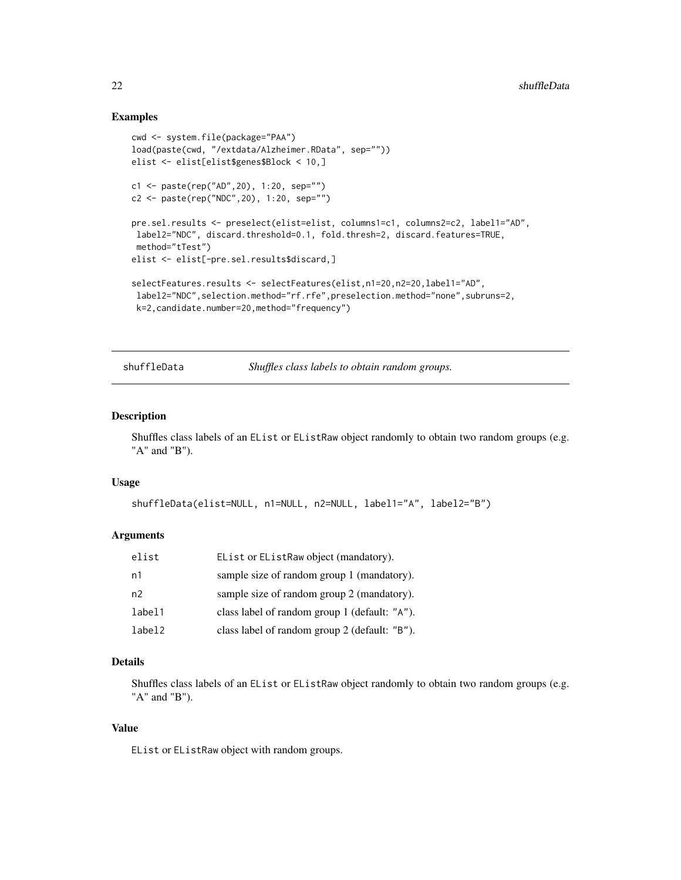#### Examples

```
cwd <- system.file(package="PAA")
load(paste(cwd, "/extdata/Alzheimer.RData", sep=""))
elist <- elist[elist$genes$Block < 10,]
c1 <- paste(rep("AD",20), 1:20, sep="")
c2 <- paste(rep("NDC",20), 1:20, sep="")
pre.sel.results <- preselect(elist=elist, columns1=c1, columns2=c2, label1="AD",
label2="NDC", discard.threshold=0.1, fold.thresh=2, discard.features=TRUE,
method="tTest")
elist <- elist[-pre.sel.results$discard,]
selectFeatures.results <- selectFeatures(elist,n1=20,n2=20,label1="AD",
label2="NDC",selection.method="rf.rfe",preselection.method="none",subruns=2,
 k=2,candidate.number=20,method="frequency")
```
shuffleData *Shuffles class labels to obtain random groups.*

#### Description

Shuffles class labels of an EList or EListRaw object randomly to obtain two random groups (e.g. "A" and "B").

#### Usage

```
shuffleData(elist=NULL, n1=NULL, n2=NULL, label1="A", label2="B")
```
#### Arguments

| elist  | EList or EListRaw object (mandatory).         |
|--------|-----------------------------------------------|
| n1     | sample size of random group 1 (mandatory).    |
| n2     | sample size of random group 2 (mandatory).    |
| label1 | class label of random group 1 (default: "A"). |
| label2 | class label of random group 2 (default: "B"). |

#### Details

Shuffles class labels of an EList or EListRaw object randomly to obtain two random groups (e.g. "A" and "B").

#### Value

EList or EListRaw object with random groups.

<span id="page-21-0"></span>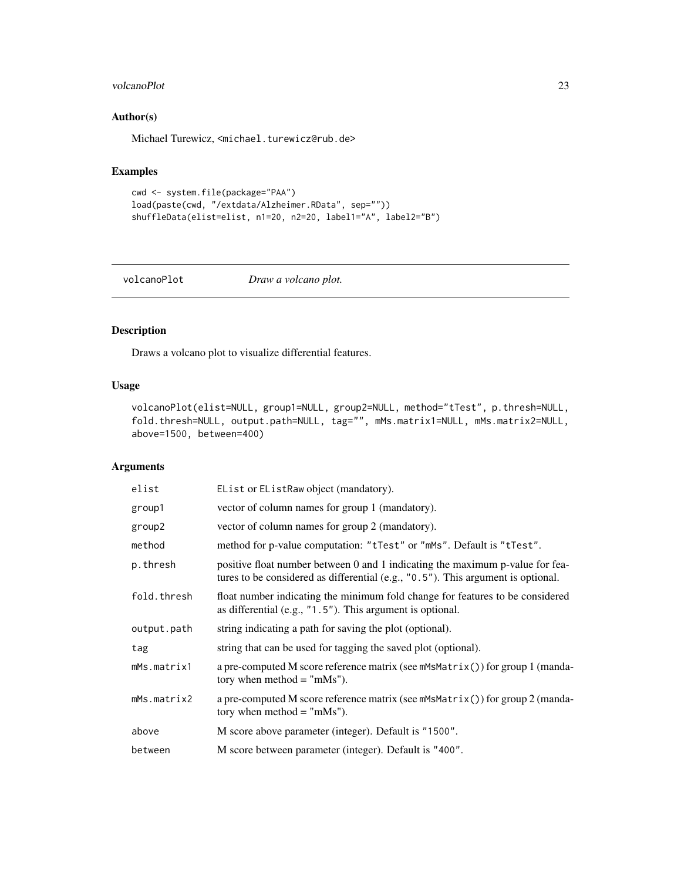#### <span id="page-22-0"></span>volcanoPlot 23

#### Author(s)

Michael Turewicz, <michael.turewicz@rub.de>

### Examples

```
cwd <- system.file(package="PAA")
load(paste(cwd, "/extdata/Alzheimer.RData", sep=""))
shuffleData(elist=elist, n1=20, n2=20, label1="A", label2="B")
```
#### volcanoPlot *Draw a volcano plot.*

#### Description

Draws a volcano plot to visualize differential features.

#### Usage

```
volcanoPlot(elist=NULL, group1=NULL, group2=NULL, method="tTest", p.thresh=NULL,
fold.thresh=NULL, output.path=NULL, tag="", mMs.matrix1=NULL, mMs.matrix2=NULL,
above=1500, between=400)
```

| elist       | EList or EListRaw object (mandatory).                                                                                                                             |
|-------------|-------------------------------------------------------------------------------------------------------------------------------------------------------------------|
| group1      | vector of column names for group 1 (mandatory).                                                                                                                   |
| group2      | vector of column names for group 2 (mandatory).                                                                                                                   |
| method      | method for p-value computation: "tTest" or "mMs". Default is "tTest".                                                                                             |
| p.thresh    | positive float number between 0 and 1 indicating the maximum p-value for fea-<br>tures to be considered as differential (e.g., "0.5"). This argument is optional. |
| fold.thresh | float number indicating the minimum fold change for features to be considered<br>as differential (e.g., $"1.5"$ ). This argument is optional.                     |
| output.path | string indicating a path for saving the plot (optional).                                                                                                          |
| tag         | string that can be used for tagging the saved plot (optional).                                                                                                    |
| mMs.matrix1 | a pre-computed M score reference matrix (see mMsMatrix()) for group 1 (manda-<br>tory when method $=$ "mMs").                                                     |
| mMs.matrix2 | a pre-computed M score reference matrix (see mMsMatrix()) for group 2 (manda-<br>tory when method $=$ "mMs").                                                     |
| above       | M score above parameter (integer). Default is "1500".                                                                                                             |
| between     | M score between parameter (integer). Default is "400".                                                                                                            |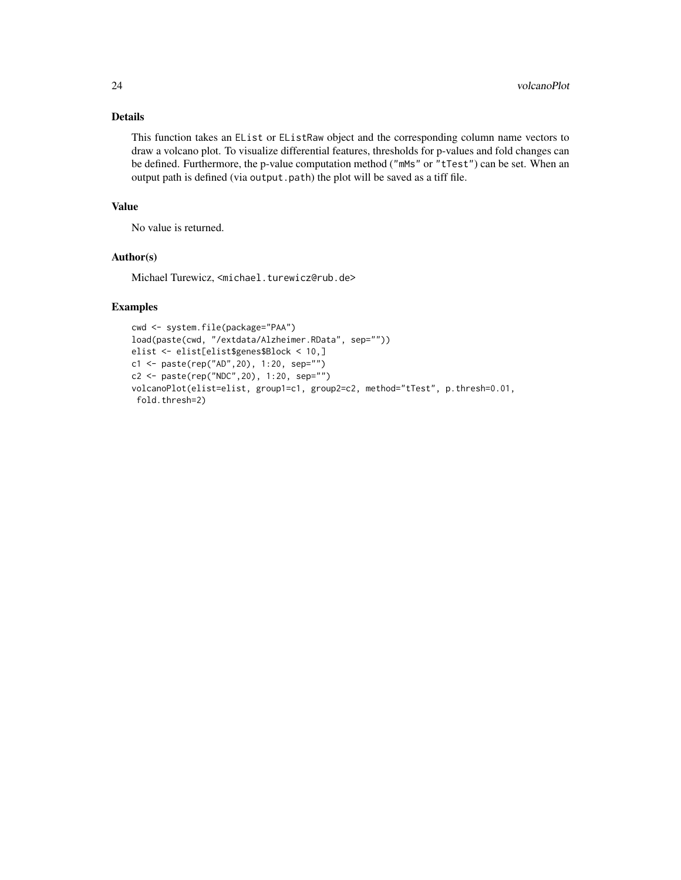#### Details

This function takes an EList or EListRaw object and the corresponding column name vectors to draw a volcano plot. To visualize differential features, thresholds for p-values and fold changes can be defined. Furthermore, the p-value computation method ("mMs" or "tTest") can be set. When an output path is defined (via output.path) the plot will be saved as a tiff file.

#### Value

No value is returned.

#### Author(s)

Michael Turewicz, <michael.turewicz@rub.de>

#### Examples

```
cwd <- system.file(package="PAA")
load(paste(cwd, "/extdata/Alzheimer.RData", sep=""))
elist <- elist[elist$genes$Block < 10,]
c1 <- paste(rep("AD",20), 1:20, sep="")
c2 <- paste(rep("NDC",20), 1:20, sep="")
volcanoPlot(elist=elist, group1=c1, group2=c2, method="tTest", p.thresh=0.01,
fold.thresh=2)
```